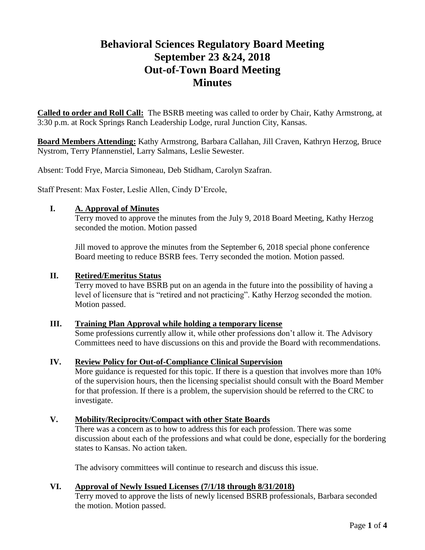# **Behavioral Sciences Regulatory Board Meeting September 23 &24, 2018 Out-of-Town Board Meeting Minutes**

**Called to order and Roll Call:** The BSRB meeting was called to order by Chair, Kathy Armstrong, at 3:30 p.m. at Rock Springs Ranch Leadership Lodge, rural Junction City, Kansas.

**Board Members Attending:** Kathy Armstrong, Barbara Callahan, Jill Craven, Kathryn Herzog, Bruce Nystrom, Terry Pfannenstiel, Larry Salmans, Leslie Sewester.

Absent: Todd Frye, Marcia Simoneau, Deb Stidham, Carolyn Szafran.

Staff Present: Max Foster, Leslie Allen, Cindy D'Ercole,

## **I. A. Approval of Minutes**

Terry moved to approve the minutes from the July 9, 2018 Board Meeting, Kathy Herzog seconded the motion. Motion passed

Jill moved to approve the minutes from the September 6, 2018 special phone conference Board meeting to reduce BSRB fees. Terry seconded the motion. Motion passed.

#### **II. Retired/Emeritus Status**

Terry moved to have BSRB put on an agenda in the future into the possibility of having a level of licensure that is "retired and not practicing". Kathy Herzog seconded the motion. Motion passed.

#### **III. Training Plan Approval while holding a temporary license**

Some professions currently allow it, while other professions don't allow it. The Advisory Committees need to have discussions on this and provide the Board with recommendations.

#### **IV. Review Policy for Out-of-Compliance Clinical Supervision**

More guidance is requested for this topic. If there is a question that involves more than 10% of the supervision hours, then the licensing specialist should consult with the Board Member for that profession. If there is a problem, the supervision should be referred to the CRC to investigate.

#### **V. Mobility/Reciprocity/Compact with other State Boards**

There was a concern as to how to address this for each profession. There was some discussion about each of the professions and what could be done, especially for the bordering states to Kansas. No action taken.

The advisory committees will continue to research and discuss this issue.

# **VI. Approval of Newly Issued Licenses (7/1/18 through 8/31/2018)**

Terry moved to approve the lists of newly licensed BSRB professionals, Barbara seconded the motion. Motion passed.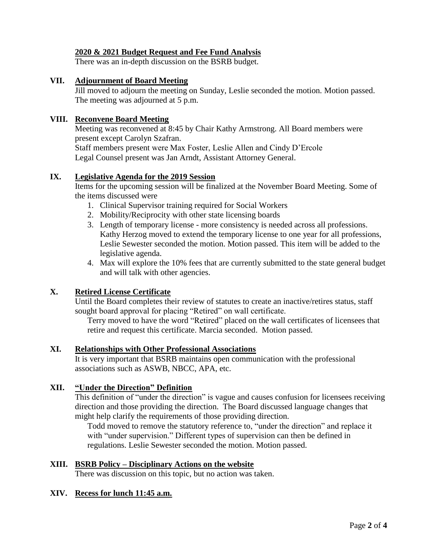## **2020 & 2021 Budget Request and Fee Fund Analysis**

There was an in-depth discussion on the BSRB budget.

### **VII. Adjournment of Board Meeting**

Jill moved to adjourn the meeting on Sunday, Leslie seconded the motion. Motion passed. The meeting was adjourned at 5 p.m.

## **VIII. Reconvene Board Meeting**

Meeting was reconvened at 8:45 by Chair Kathy Armstrong. All Board members were present except Carolyn Szafran.

Staff members present were Max Foster, Leslie Allen and Cindy D'Ercole Legal Counsel present was Jan Arndt, Assistant Attorney General.

#### **IX. Legislative Agenda for the 2019 Session**

Items for the upcoming session will be finalized at the November Board Meeting. Some of the items discussed were

- 1. Clinical Supervisor training required for Social Workers
- 2. Mobility/Reciprocity with other state licensing boards
- 3. Length of temporary license more consistency is needed across all professions. Kathy Herzog moved to extend the temporary license to one year for all professions, Leslie Sewester seconded the motion. Motion passed. This item will be added to the legislative agenda.
- 4. Max will explore the 10% fees that are currently submitted to the state general budget and will talk with other agencies.

# **X. Retired License Certificate**

Until the Board completes their review of statutes to create an inactive/retires status, staff sought board approval for placing "Retired" on wall certificate.

Terry moved to have the word "Retired" placed on the wall certificates of licensees that retire and request this certificate. Marcia seconded. Motion passed.

# **XI. Relationships with Other Professional Associations**

It is very important that BSRB maintains open communication with the professional associations such as ASWB, NBCC, APA, etc.

# **XII. "Under the Direction" Definition**

This definition of "under the direction" is vague and causes confusion for licensees receiving direction and those providing the direction. The Board discussed language changes that might help clarify the requirements of those providing direction.

Todd moved to remove the statutory reference to, "under the direction" and replace it with "under supervision." Different types of supervision can then be defined in regulations. Leslie Sewester seconded the motion. Motion passed.

#### **XIII. BSRB Policy – Disciplinary Actions on the website**

There was discussion on this topic, but no action was taken.

#### **XIV. Recess for lunch 11:45 a.m.**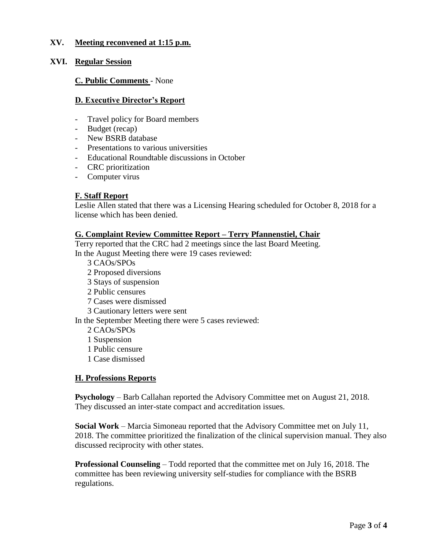## **XV. Meeting reconvened at 1:15 p.m.**

#### **XVI. Regular Session**

**C. Public Comments** - None

#### **D. Executive Director's Report**

- Travel policy for Board members
- Budget (recap)
- New BSRB database
- Presentations to various universities
- Educational Roundtable discussions in October
- CRC prioritization
- Computer virus

#### **F. Staff Report**

Leslie Allen stated that there was a Licensing Hearing scheduled for October 8, 2018 for a license which has been denied.

#### **G. Complaint Review Committee Report – Terry Pfannenstiel, Chair**

Terry reported that the CRC had 2 meetings since the last Board Meeting. In the August Meeting there were 19 cases reviewed:

3 CAOs/SPOs

- 2 Proposed diversions
- 3 Stays of suspension
- 2 Public censures
- 7 Cases were dismissed
- 3 Cautionary letters were sent

In the September Meeting there were 5 cases reviewed:

- 2 CAOs/SPOs
- 1 Suspension
- 1 Public censure
- 1 Case dismissed

#### **H. Professions Reports**

**Psychology** – Barb Callahan reported the Advisory Committee met on August 21, 2018. They discussed an inter-state compact and accreditation issues.

**Social Work** – Marcia Simoneau reported that the Advisory Committee met on July 11, 2018. The committee prioritized the finalization of the clinical supervision manual. They also discussed reciprocity with other states.

**Professional Counseling** – Todd reported that the committee met on July 16, 2018. The committee has been reviewing university self-studies for compliance with the BSRB regulations.